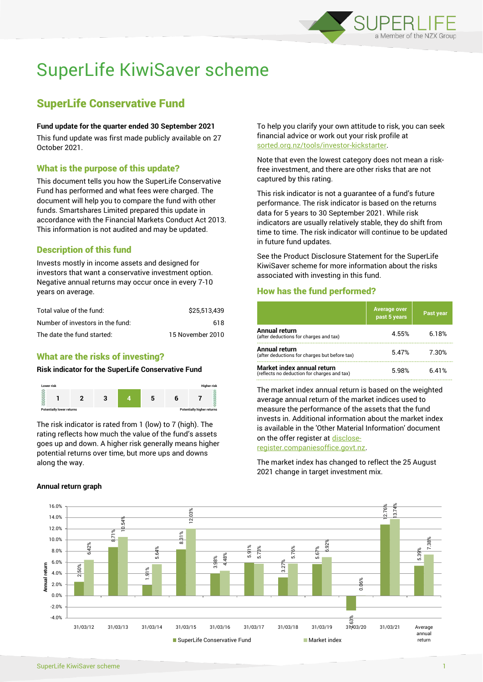

# SuperLife KiwiSaver scheme

# SuperLife Conservative Fund

#### **Fund update for the quarter ended 30 September 2021**

This fund update was first made publicly available on 27 October 2021.

# What is the purpose of this update?

This document tells you how the SuperLife Conservative Fund has performed and what fees were charged. The document will help you to compare the fund with other funds. Smartshares Limited prepared this update in accordance with the Financial Markets Conduct Act 2013. This information is not audited and may be updated.

# Description of this fund

Invests mostly in income assets and designed for investors that want a conservative investment option. Negative annual returns may occur once in every 7-10 years on average.

| Total value of the fund:         | \$25.513.439     |
|----------------------------------|------------------|
| Number of investors in the fund: | 618              |
| The date the fund started:       | 15 November 2010 |

# What are the risks of investing?

#### **Risk indicator for the SuperLife Conservative Fund**



The risk indicator is rated from 1 (low) to 7 (high). The rating reflects how much the value of the fund's assets goes up and down. A higher risk generally means higher potential returns over time, but more ups and downs along the way.

#### **Annual return graph**

To help you clarify your own attitude to risk, you can seek financial advice or work out your risk profile at [sorted.org.nz/tools/investor-kickstarter.](http://www.sorted.org.nz/tools/investor-kickstarter)

Note that even the lowest category does not mean a riskfree investment, and there are other risks that are not captured by this rating.

This risk indicator is not a guarantee of a fund's future performance. The risk indicator is based on the returns data for 5 years to 30 September 2021. While risk indicators are usually relatively stable, they do shift from time to time. The risk indicator will continue to be updated in future fund updates.

See the Product Disclosure Statement for the SuperLife KiwiSaver scheme for more information about the risks associated with investing in this fund.

# How has the fund performed?

|                                                                           | <b>Average over</b><br>past 5 years | Past year        |
|---------------------------------------------------------------------------|-------------------------------------|------------------|
| Annual return<br>(after deductions for charges and tax)                   | 4.55%                               | 6 18%            |
| Annual return<br>(after deductions for charges but before tax)            | 5.47%                               | 7 30%            |
| Market index annual return<br>(reflects no deduction for charges and tax) | 5 QR%                               | 641 <sup>%</sup> |

The market index annual return is based on the weighted average annual return of the market indices used to measure the performance of the assets that the fund invests in. Additional information about the market index is available in the 'Other Material Information' document on the offer register a[t disclose-](http://www.disclose-register.companiesoffice.govt.nz/)

[register.companiesoffice.govt.nz.](http://www.disclose-register.companiesoffice.govt.nz/)

The market index has changed to reflect the 25 August 2021 change in target investment mix.

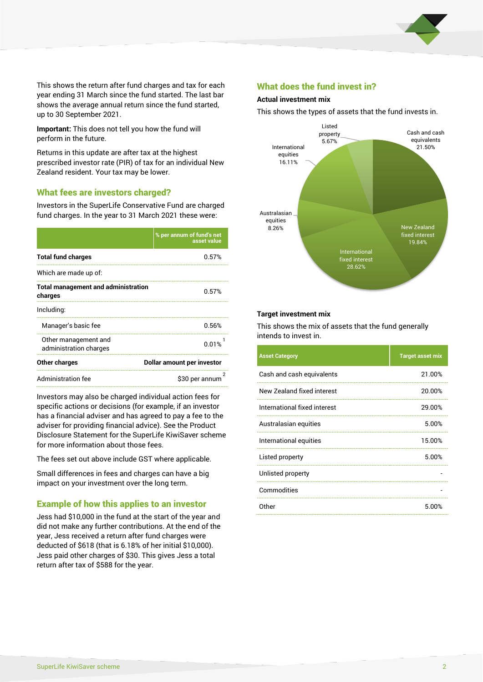

This shows the return after fund charges and tax for each year ending 31 March since the fund started. The last bar shows the average annual return since the fund started, up to 30 September 2021.

**Important:** This does not tell you how the fund will perform in the future.

Returns in this update are after tax at the highest prescribed investor rate (PIR) of tax for an individual New Zealand resident. Your tax may be lower.

#### What fees are investors charged?

Investors in the SuperLife Conservative Fund are charged fund charges. In the year to 31 March 2021 these were:

|                                                       | % per annum of fund's net<br>asset value |  |  |
|-------------------------------------------------------|------------------------------------------|--|--|
| <b>Total fund charges</b>                             | 0.57%                                    |  |  |
| Which are made up of:                                 |                                          |  |  |
| <b>Total management and administration</b><br>charges | 0.57%                                    |  |  |
| Including:                                            |                                          |  |  |
| Manager's basic fee                                   | 0.56%                                    |  |  |
| Other management and<br>administration charges        | 0.01%                                    |  |  |
| <b>Other charges</b>                                  | Dollar amount per investor               |  |  |
| Administration fee                                    | 2<br>\$30 per annum                      |  |  |

Investors may also be charged individual action fees for specific actions or decisions (for example, if an investor has a financial adviser and has agreed to pay a fee to the adviser for providing financial advice). See the Product Disclosure Statement for the SuperLife KiwiSaver scheme for more information about those fees.

The fees set out above include GST where applicable.

Small differences in fees and charges can have a big impact on your investment over the long term.

### Example of how this applies to an investor

Jess had \$10,000 in the fund at the start of the year and did not make any further contributions. At the end of the year, Jess received a return after fund charges were deducted of \$618 (that is 6.18% of her initial \$10,000). Jess paid other charges of \$30. This gives Jess a total return after tax of \$588 for the year.

#### What does the fund invest in?

#### **Actual investment mix**

This shows the types of assets that the fund invests in.



#### **Target investment mix**

This shows the mix of assets that the fund generally intends to invest in.

| <b>Asset Category</b>        | <b>Target asset mix</b> |
|------------------------------|-------------------------|
| Cash and cash equivalents    | 21.00%                  |
| New Zealand fixed interest   | 20.00%                  |
| International fixed interest | 29.00%                  |
| Australasian equities        | 5.00%                   |
| International equities       | 15.00%                  |
| Listed property              | 5.00%                   |
| Unlisted property            |                         |
| Commodities                  |                         |
| Other                        | 5.00%                   |